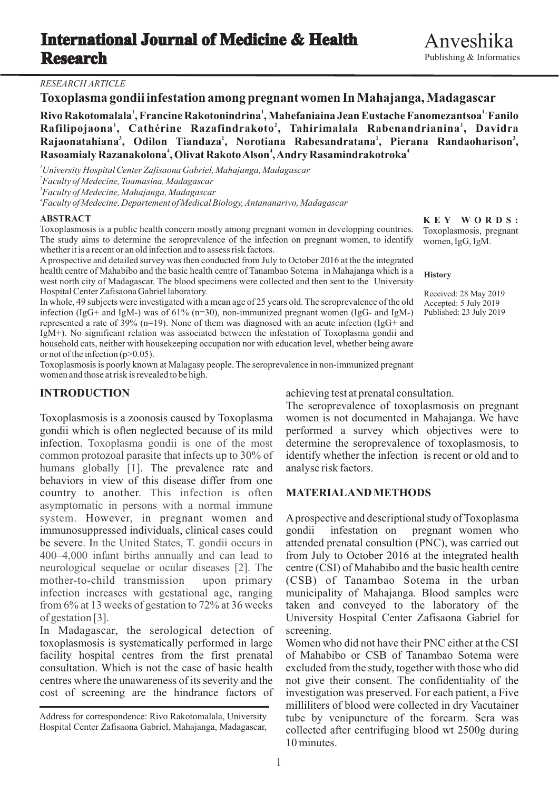## *RESEARCH ARTICLE*

## **Toxoplasma gondii infestation among pregnant women In Mahajanga, Madagascar**

 **<sup>1</sup> 1 , Rivo Rakotomalala , Francine Rakotonindrina , Mahefaniaina Jean Eustache Fanomezantsoa Fanilo <sup>2</sup> <sup>1</sup> Rafilipojaona , Cathérine Razafindrakoto , Tahirimalala Rabenandrianina , Davidra <sup>1</sup> <sup>1</sup> <sup>3</sup> Rajaonatahiana , Odilon Tiandaza , Norotiana Rabesandratana , Pierana Randaoharison , <sup>4</sup> <sup>4</sup> Rasoamialy Razanakolona , Olivat Rakoto Alson , Andry Rasamindrakotroka**

*University Hospital Center Zafisaona Gabriel, Mahajanga, Madagascar Faculty of Medecine, Toamasina, Madagascar Faculty of Medecine, Mahajanga, Madagascar Faculty of Medecine, Departement of Medical Biology, Antananarivo, Madagascar*

### **ABSTRACT**

Toxoplasmosis is a public health concern mostly among pregnant women in developping countries. The study aims to determine the seroprevalence of the infection on pregnant women, to identify whether it is a recent or an old infection and to assess risk factors.

Aprospective and detailed survey was then conducted from July to October 2016 at the the integrated health centre of Mahabibo and the basic health centre of Tanambao Sotema in Mahajanga which is a west north city of Madagascar. The blood specimens were collected and then sent to the University Hospital Center Zafisaona Gabriel laboratory.

In whole, 49 subjects were investigated with a mean age of 25 years old. The seroprevalence of the old infection (IgG+ and IgM-) was of 61% (n=30), non-immunized pregnant women (IgG- and IgM-) represented a rate of 39% (n=19). None of them was diagnosed with an acute infection (IgG+ and IgM+). No significant relation was associated between the infestation of Toxoplasma gondii and household cats, neither with housekeeping occupation nor with education level, whether being aware or not of the infection  $(p>0.05)$ .

Toxoplasmosis is poorly known at Malagasy people. The seroprevalence in non-immunized pregnant women and those at risk is revealed to be high.

gondii which is often neglected because of its mild performed a survey which objectives were to humans globally [1]. The prevalence rate and analyse risk factors. behaviors in view of this disease differ from one country to another. This infection is often **MATERIALANDMETHODS** immunosuppressed individuals, clinical cases could gondii infestation on pregnant women who infection. Toxoplasma gondia is one of the most common protozoal parasite that infects up to 30% of asymptomatic in persons with a normal immune system. However, in pregnant women and be severe. In the United States, T. gondii occurs in 400–4,000 infant births annually and can lead to neurological sequelae or ocular diseases [2]. The mother-to-child transmission upon primary infection increases with gestational age, ranging from 6% at 13 weeks of gestation to 72% at 36 weeks of gestation [3].

In Madagascar, the serological detection of screening. toxoplasmosis is systematically performed in large Women who did not have their PNC either at the CSI facility hospital centres from the first prenatal of Mahabibo or CSB of Tanambao Sotema were consultation. Which is not the case of basic health excluded from the study, together with those who did centres where the unawareness of its severity and the not give their consent. The confidentiality of the cost of screening are the hindrance factors of investigation was preserved. For each patient, a Five

**INTRODUCTION** achieving test at prenatal consultation.

The seroprevalence of toxoplasmosis on pregnant Toxoplasmosis is a zoonosis caused by Toxoplasma women is not documented in Mahajanga. We have determine the seroprevalence of toxoplasmosis, to identify whether the infection is recent or old and to

A prospective and descriptional study of Toxoplasma attended prenatal consultion (PNC), was carried out from July to October 2016 at the integrated health centre (CSI) of Mahabibo and the basic health centre (CSB) of Tanambao Sotema in the urban municipality of Mahajanga. Blood samples were taken and conveyed to the laboratory of the University Hospital Center Zafisaona Gabriel for

milliliters of blood were collected in dry Vacutainer tube by venipuncture of the forearm. Sera was collected after centrifuging blood wt 2500g during 10 minutes.

**K E Y W O R D S :** Toxoplasmosis, pregnant women, IgG, IgM.

### **History**

Received: 28 May 2019 Accepted: 5 July 2019 Published: 23 July 2019

Address for correspondence: Rivo Rakotomalala , University Hospital Center Zafisaona Gabriel, Mahajanga, Madagascar,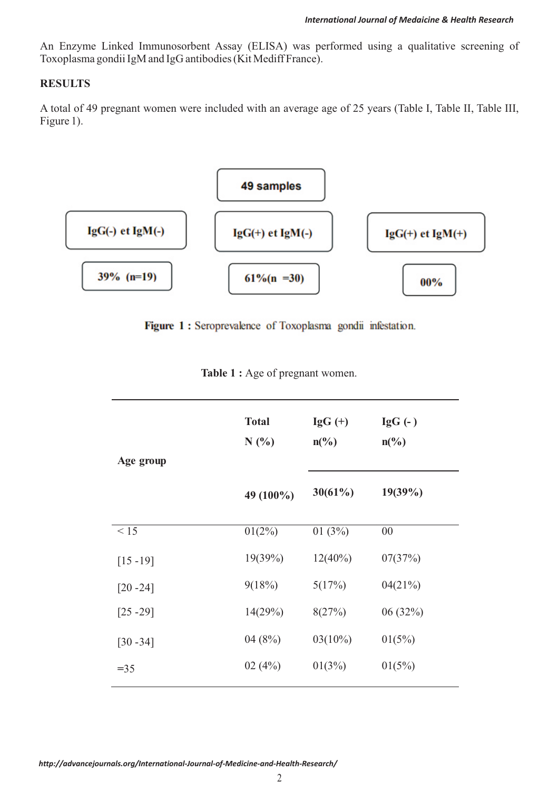An Enzyme Linked Immunosorbent Assay (ELISA) was performed using a qualitative screening of Toxoplasma gondii IgM and IgG antibodies (Kit Mediff France).

## **RESULTS**

A total of 49 pregnant women were included with an average age of 25 years (Table I, Table II, Table III, Figure 1).



Figure 1: Seroprevalence of Toxoplasma gondii infestation.

|  |  | Table 1 : Age of pregnant women. |  |
|--|--|----------------------------------|--|
|--|--|----------------------------------|--|

|             | <b>Total</b><br>N(%) | $\lg G (+)$<br>$n\left(\frac{0}{0}\right)$ | $\lg G$ (- )<br>$n\left(\frac{0}{0}\right)$ |
|-------------|----------------------|--------------------------------------------|---------------------------------------------|
| Age group   | 49 (100%)            | 30(61%)                                    | $19(39\%)$                                  |
| < 15        | $01(2\%)$            | 01(3%)                                     | 00                                          |
| $[15 - 19]$ | 19(39%)              | $12(40\%)$                                 | 07(37%)                                     |
| $[20 - 24]$ | 9(18%)               | 5(17%)                                     | 04(21%)                                     |
| $[25 - 29]$ | 14(29%)              | 8(27%)                                     | 06(32%)                                     |
| $[30 - 34]$ | 04(8%)               | $03(10\%)$                                 | 01(5%)                                      |
| $= 35$      | 02(4%)               | 01(3%)                                     | 01(5%)                                      |

*http://advancejournals.org/International-Journal-of-Medicine-and-Health-Research/*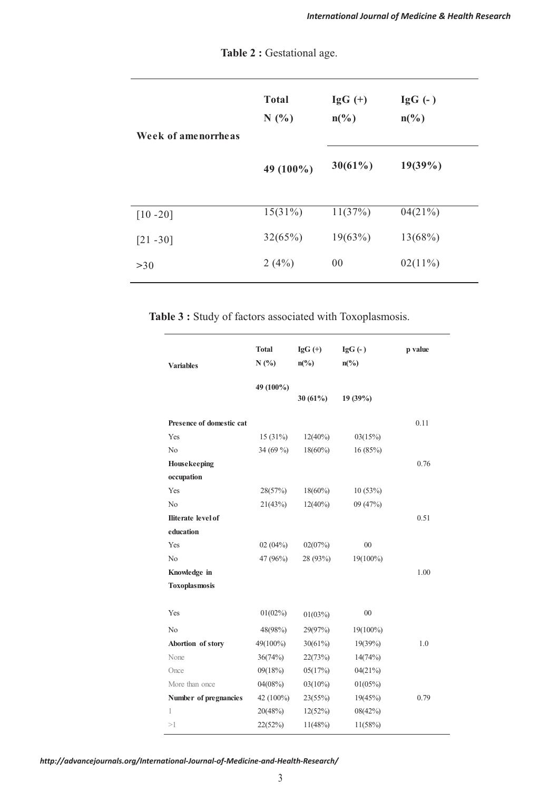| Week of amenorrheas | <b>Total</b><br>N(%) | $IgG (+)$<br>$n\left(\frac{0}{0}\right)$ | $\lg G$ (- )<br>$n\left(\frac{0}{0}\right)$ |
|---------------------|----------------------|------------------------------------------|---------------------------------------------|
|                     | 49 (100%)            | $30(61\%)$                               | $19(39\%)$                                  |
| $[10 - 20]$         | $15(31\%)$           | 11(37%)                                  | 04(21%)                                     |
| $[21 - 30]$         | 32(65%)              | 19(63%)                                  | $13(68\%)$                                  |
| >30                 | 2(4%)                | 00                                       | $02(11\%)$                                  |

Table 2 : Gestational age.

**Table 3 :** Study of factors associated with Toxoplasmosis.

| <b>Variables</b>          | <b>Total</b><br>N(%) | $IgG$ (+)<br>$n\left(\frac{0}{0}\right)$ | $IgG(-)$<br>$n\left(\frac{0}{0}\right)$ | p value |
|---------------------------|----------------------|------------------------------------------|-----------------------------------------|---------|
|                           | 49 (100%)            | 30 $(61\%)$                              | 19 (39%)                                |         |
| Presence of domestic cat  |                      |                                          |                                         | 0.11    |
| Yes                       | $15(31\%)$           | $12(40\%)$                               | 03(15%)                                 |         |
| N <sub>0</sub>            | 34 (69 %)            | $18(60\%)$                               | 16(85%)                                 |         |
| Housekeeping              |                      |                                          |                                         | 0.76    |
| occupation                |                      |                                          |                                         |         |
| Yes                       | 28(57%)              | $18(60\%)$                               | 10(53%)                                 |         |
| N <sub>o</sub>            | 21(43%)              | $12(40\%)$                               | 09 (47%)                                |         |
| <b>Iliterate</b> level of |                      |                                          |                                         | 0.51    |
| education                 |                      |                                          |                                         |         |
| Yes                       | 02(04%)              | 02(07%)                                  | 00                                      |         |
| N <sub>0</sub>            | 47 (96%)             | 28 (93%)                                 | $19(100\%)$                             |         |
| Knowledge in              |                      |                                          |                                         | 1.00    |
| <b>Toxoplasmosis</b>      |                      |                                          |                                         |         |
| Yes                       | $01(02\%)$           | 01(03%)                                  | 00                                      |         |
| No                        | 48(98%)              | 29(97%)                                  | $19(100\%)$                             |         |
| Abortion of story         | 49(100%)             | 30(61%)                                  | $19(39\%)$                              | 1.0     |
| None                      | 36(74%)              | 22(73%)                                  | 14(74%)                                 |         |
| Once                      | 09(18%)              | 05(17%)                                  | 04(21%)                                 |         |
| More than once            | $04(08\%)$           | $03(10\%)$                               | $01(05\%)$                              |         |
| Number of pregnancies     | 42 (100%)            | 23(55%)                                  | 19(45%)                                 | 0.79    |
| 1                         | 20(48%)              | 12(52%)                                  | 08(42%)                                 |         |
| >1                        | 22(52%)              | 11(48%)                                  | $11(58\%)$                              |         |

*http://advancejournals.org/International-Journal-of-Medicine-and-Health-Research/*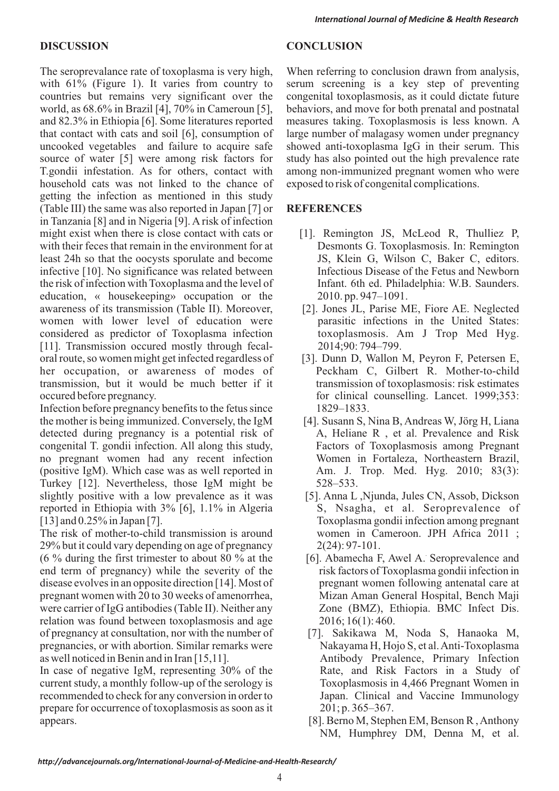The seroprevalance rate of toxoplasma is very high, When referring to conclusion drawn from analysis, with 61% (Figure 1). It varies from country to serum screening is a key step of preventing countries but remains very significant over the congenital toxoplasmosis, as it could dictate future world, as 68.6% in Brazil [4], 70% in Cameroun [5], behaviors, and move for both prenatal and postnatal and 82.3% in Ethiopia [6]. Some literatures reported measures taking. Toxoplasmosis is less known. A that contact with cats and soil [6], consumption of large number of malagasy women under pregnancy uncooked vegetables and failure to acquire safe showed anti-toxoplasma IgG in their serum. This source of water [5] were among risk factors for study has also pointed out the high prevalence rate T.gondii infestation. As for others, contact with among non-immunized pregnant women who were household cats was not linked to the chance of exposed to risk of congenital complications. getting the infection as mentioned in this study (Table III) the same was also reported in Japan [7] or **REFERENCES** in Tanzania [8] and in Nigeria [9]. A risk of infection might exist when there is close contact with cats or [1]. Remington JS, McLeod R, Thulliez P, with their feces that remain in the environment for at Desmonts G. Toxoplasmosis. In: Remington least 24h so that the oocysts sporulate and become JS, Klein G, Wilson C, Baker C, editors. infective [10]. No significance was related between Infectious Disease of the Fetus and Newborn the risk of infection with Toxoplasma and the level of Infant. 6th ed. Philadelphia: W.B. Saunders. education, « housekeeping» occupation or the 2010. pp. 947–1091. awareness of its transmission (Table II). Moreover, [2]. Jones JL, Parise ME, Fiore AE. Neglected women with lower level of education were parasitic infections in the United States: considered as predictor of Toxoplasma infection toxoplasmosis. Am J Trop Med Hyg. [11]. Transmission occured mostly through fecal- 2014;90: 794–799. oral route, so women might get infected regardless of [3]. Dunn D, Wallon M, Peyron F, Petersen E, her occupation, or awareness of modes of Peckham C, Gilbert R. Mother-to-child transmission, but it would be much better if it transmission of toxoplasmosis: risk estimates occured before pregnancy. for clinical counselling. Lancet. 1999;353:

Infection before pregnancy benefits to the fetus since 1829–1833. the mother is being immunized. Conversely, the IgM [4]. Susann S, Nina B, Andreas W, Jörg H, Liana detected during pregnancy is a potential risk of A, Heliane R, et al. Prevalence and Risk congenital T. gondii infection. All along this study, Factors of Toxoplasmosis among Pregnant no pregnant women had any recent infection Women in Fortaleza, Northeastern Brazil, (positive IgM). Which case was as well reported in  $\mu$  Am. J. Trop. Med. Hyg. 2010; 83(3): Turkey [12]. Nevertheless, those IgM might be 528–533. slightly positive with a low prevalence as it was [5]. Anna L , Njunda, Jules CN, Assob, Dickson reported in Ethiopia with 3% [6], 1.1% in Algeria S, Nsagha, et al. Seroprevalence of reported in Ethiopia with  $3\%$  [6],  $1.1\%$  in Algeria [13] and 0.25% in Japan [7]. Toxoplasma gondii infection among pregnant

The risk of mother-to-child transmission is around women in Cameroon. JPH Africa 2011 ; 29% but it could vary depending on age of pregnancy 2(24): 97-101.  $(6\%$  during the first trimester to about 80 % at the [6]. Abamecha F, Awel A. Seroprevalence and end term of pregnancy) while the severity of the risk factors of Toxoplasma gondii infection in disease evolves in an opposite direction [14]. Most of pregnant women following antenatal care at pregnant women with 20 to 30 weeks of amenorrhea, Mizan Aman General Hospital, Bench Maji were carrier of IgG antibodies (Table II). Neither any Zone (BMZ), Ethiopia. BMC Infect Dis. relation was found between toxoplasmosis and age 2016; 16(1): 460. of pregnancy at consultation, nor with the number of [7]. Sakikawa M, Noda S, Hanaoka M, pregnancies, or with abortion. Similar remarks were Nakayama H, Hojo S, et al. Anti-Toxoplasma as well noticed in Benin and in Iran [15,11]. Antibody Prevalence, Primary Infection

In case of negative IgM, representing 30% of the Rate, and Risk Factors in a Study of current study, a monthly follow-up of the serology is Toxoplasmosis in 4,466 Pregnant Women in recommended to check for any conversion in order to Japan. Clinical and Vaccine Immunology prepare for occurrence of toxoplasmosis as soon as it 201; p. 365–367. appears. [8]. Berno M, Stephen EM, Benson R , Anthony

# **DISCUSSION CONCLUSION**

- 
- 
- 
- 
- 
- 
- 
- NM, Humphrey DM, Denna M, et al.